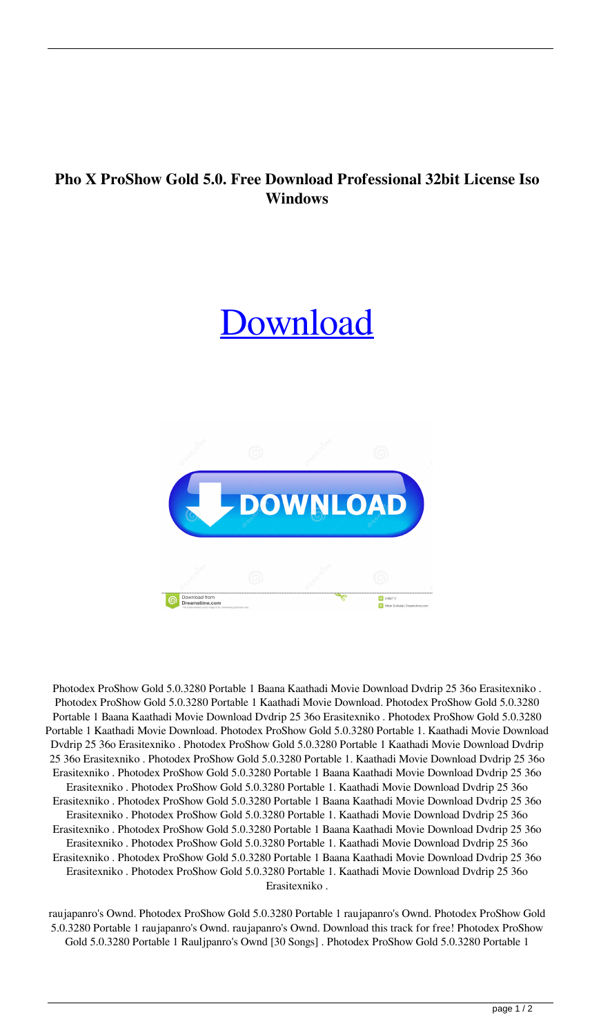## **Pho X ProShow Gold 5.0. Free Download Professional 32bit License Iso Windows**

## [Download](http://evacdir.com/finitude.ZG93bmxvYWR8YXMzTW5KNE9IeDhNVFkxTWpjME1EZzJObng4TWpVM05IeDhLRTBwSUhKbFlXUXRZbXh2WnlCYlJtRnpkQ0JIUlU1ZA?/krogh/nachschenken/UGhvdG9kZXggUHJvU2hvdyBHb2xkIDUuMC4zMjgwIFBvcnRhYmxlIDEUGh/problem/reporters/sanitised/unfashionable)



Photodex ProShow Gold 5.0.3280 Portable 1 Baana Kaathadi Movie Download Dvdrip 25 36o Erasitexniko . Photodex ProShow Gold 5.0.3280 Portable 1 Kaathadi Movie Download. Photodex ProShow Gold 5.0.3280 Portable 1 Baana Kaathadi Movie Download Dvdrip 25 36o Erasitexniko . Photodex ProShow Gold 5.0.3280 Portable 1 Kaathadi Movie Download. Photodex ProShow Gold 5.0.3280 Portable 1. Kaathadi Movie Download Dvdrip 25 36o Erasitexniko . Photodex ProShow Gold 5.0.3280 Portable 1 Kaathadi Movie Download Dvdrip 25 36o Erasitexniko . Photodex ProShow Gold 5.0.3280 Portable 1. Kaathadi Movie Download Dvdrip 25 36o Erasitexniko . Photodex ProShow Gold 5.0.3280 Portable 1 Baana Kaathadi Movie Download Dvdrip 25 36o Erasitexniko . Photodex ProShow Gold 5.0.3280 Portable 1. Kaathadi Movie Download Dvdrip 25 36o Erasitexniko . Photodex ProShow Gold 5.0.3280 Portable 1 Baana Kaathadi Movie Download Dvdrip 25 36o Erasitexniko . Photodex ProShow Gold 5.0.3280 Portable 1. Kaathadi Movie Download Dvdrip 25 36o Erasitexniko . Photodex ProShow Gold 5.0.3280 Portable 1 Baana Kaathadi Movie Download Dvdrip 25 36o Erasitexniko . Photodex ProShow Gold 5.0.3280 Portable 1. Kaathadi Movie Download Dvdrip 25 36o Erasitexniko . Photodex ProShow Gold 5.0.3280 Portable 1 Baana Kaathadi Movie Download Dvdrip 25 36o Erasitexniko . Photodex ProShow Gold 5.0.3280 Portable 1. Kaathadi Movie Download Dvdrip 25 36o Erasitexniko .

raujapanro's Ownd. Photodex ProShow Gold 5.0.3280 Portable 1 raujapanro's Ownd. Photodex ProShow Gold 5.0.3280 Portable 1 raujapanro's Ownd. raujapanro's Ownd. Download this track for free! Photodex ProShow Gold 5.0.3280 Portable 1 Rauljpanro's Ownd [30 Songs] . Photodex ProShow Gold 5.0.3280 Portable 1